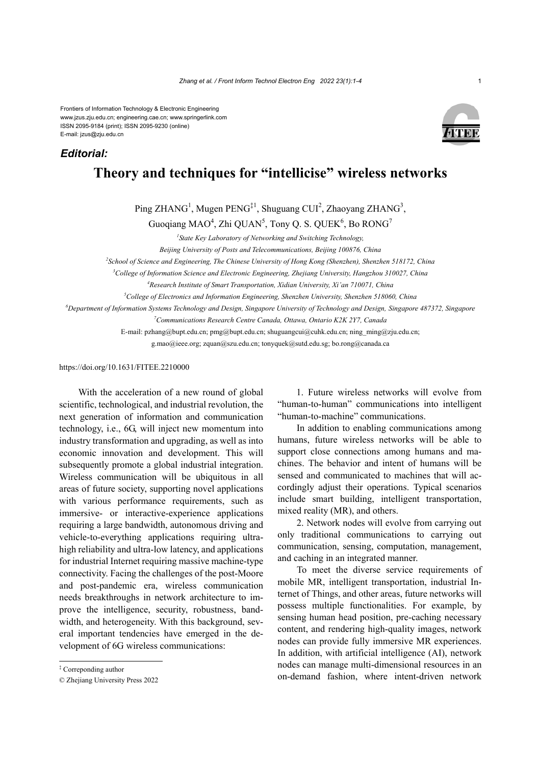Frontiers of Information Technology & Electronic Engineering www.jzus.zju.edu.cn; engineering.cae.cn; www.springerlink.com ISSN 2095-9184 (print); ISSN 2095-9230 (online) E-mail: jzus@zju.edu.cn

## *Editorial:*



## **Theory and techniques for "intellicise" wireless networks**

Ping ZHANG<sup>1</sup>, Mugen PENG<sup>‡1</sup>, Shuguang CUI<sup>2</sup>, Zhaoyang ZHANG<sup>3</sup>,

Guoqiang MAO<sup>4</sup>, Zhi QUAN<sup>5</sup>, Tony Q. S. QUEK<sup>6</sup>, Bo RONG<sup>7</sup>

*1 State Key Laboratory of Networking and Switching Technology,* 

*Beijing University of Posts and Telecommunications, Beijing 100876, China* 

*2 School of Science and Engineering, The Chinese University of Hong Kong (Shenzhen), Shenzhen 518172, China* 

*3 College of Information Science and Electronic Engineering, Zhejiang University, Hangzhou 310027, China* 

*4 Research Institute of Smart Transportation, Xidian University, Xi'an 710071, China* 

*5 College of Electronics and Information Engineering, Shenzhen University, Shenzhen 518060, China* 

*6 Department of Information Systems Technology and Design, Singapore University of Technology and Design, Singapore 487372, Singapore* 

*7 Communications Research Centre Canada, Ottawa, Ontario K2K 2Y7, Canada* 

E-mail: pzhang@bupt.edu.cn; pmg@bupt.edu.cn; shuguangcui@cuhk.edu.cn; ning\_ming@zju.edu.cn; g.mao@ieee.org; zquan@szu.edu.cn; tonyquek@sutd.edu.sg; bo.rong@canada.ca

https://doi.org/10.1631/FITEE.2210000

With the acceleration of a new round of global scientific, technological, and industrial revolution, the next generation of information and communication technology, i.e., 6G, will inject new momentum into industry transformation and upgrading, as well as into economic innovation and development. This will subsequently promote a global industrial integration. Wireless communication will be ubiquitous in all areas of future society, supporting novel applications with various performance requirements, such as immersive- or interactive-experience applications requiring a large bandwidth, autonomous driving and vehicle-to-everything applications requiring ultrahigh reliability and ultra-low latency, and applications for industrial Internet requiring massive machine-type connectivity. Facing the challenges of the post-Moore and post-pandemic era, wireless communication needs breakthroughs in network architecture to improve the intelligence, security, robustness, bandwidth, and heterogeneity. With this background, several important tendencies have emerged in the development of 6G wireless communications:

1. Future wireless networks will evolve from "human-to-human" communications into intelligent "human-to-machine" communications.

In addition to enabling communications among humans, future wireless networks will be able to support close connections among humans and machines. The behavior and intent of humans will be sensed and communicated to machines that will accordingly adjust their operations. Typical scenarios include smart building, intelligent transportation, mixed reality (MR), and others.

2. Network nodes will evolve from carrying out only traditional communications to carrying out communication, sensing, computation, management, and caching in an integrated manner.

To meet the diverse service requirements of mobile MR, intelligent transportation, industrial Internet of Things, and other areas, future networks will possess multiple functionalities. For example, by sensing human head position, pre-caching necessary content, and rendering high-quality images, network nodes can provide fully immersive MR experiences. In addition, with artificial intelligence (AI), network nodes can manage multi-dimensional resources in an on-demand fashion, where intent-driven network

<sup>‡</sup> Correponding author

<sup>©</sup> Zhejiang University Press 2022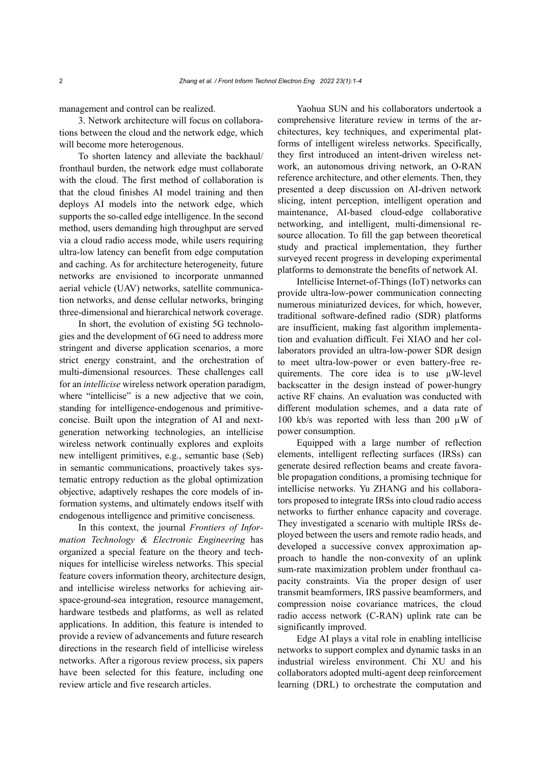management and control can be realized.

3. Network architecture will focus on collaborations between the cloud and the network edge, which will become more heterogenous.

To shorten latency and alleviate the backhaul/ fronthaul burden, the network edge must collaborate with the cloud. The first method of collaboration is that the cloud finishes AI model training and then deploys AI models into the network edge, which supports the so-called edge intelligence. In the second method, users demanding high throughput are served via a cloud radio access mode, while users requiring ultra-low latency can benefit from edge computation and caching. As for architecture heterogeneity, future networks are envisioned to incorporate unmanned aerial vehicle (UAV) networks, satellite communication networks, and dense cellular networks, bringing three-dimensional and hierarchical network coverage.

In short, the evolution of existing 5G technologies and the development of 6G need to address more stringent and diverse application scenarios, a more strict energy constraint, and the orchestration of multi-dimensional resources. These challenges call for an *intellicise* wireless network operation paradigm, where "intellicise" is a new adjective that we coin, standing for intelligence-endogenous and primitiveconcise. Built upon the integration of AI and nextgeneration networking technologies, an intellicise wireless network continually explores and exploits new intelligent primitives, e.g., semantic base (Seb) in semantic communications, proactively takes systematic entropy reduction as the global optimization objective, adaptively reshapes the core models of information systems, and ultimately endows itself with endogenous intelligence and primitive conciseness.

In this context, the journal *Frontiers of Information Technology & Electronic Engineering* has organized a special feature on the theory and techniques for intellicise wireless networks. This special feature covers information theory, architecture design, and intellicise wireless networks for achieving airspace-ground-sea integration, resource management, hardware testbeds and platforms, as well as related applications. In addition, this feature is intended to provide a review of advancements and future research directions in the research field of intellicise wireless networks. After a rigorous review process, six papers have been selected for this feature, including one review article and five research articles.

Yaohua SUN and his collaborators undertook a comprehensive literature review in terms of the architectures, key techniques, and experimental platforms of intelligent wireless networks. Specifically, they first introduced an intent-driven wireless network, an autonomous driving network, an O-RAN reference architecture, and other elements. Then, they presented a deep discussion on AI-driven network slicing, intent perception, intelligent operation and maintenance, AI-based cloud-edge collaborative networking, and intelligent, multi-dimensional resource allocation. To fill the gap between theoretical study and practical implementation, they further surveyed recent progress in developing experimental platforms to demonstrate the benefits of network AI.

Intellicise Internet-of-Things (IoT) networks can provide ultra-low-power communication connecting numerous miniaturized devices, for which, however, traditional software-defined radio (SDR) platforms are insufficient, making fast algorithm implementation and evaluation difficult. Fei XIAO and her collaborators provided an ultra-low-power SDR design to meet ultra-low-power or even battery-free requirements. The core idea is to use µW-level backscatter in the design instead of power-hungry active RF chains. An evaluation was conducted with different modulation schemes, and a data rate of 100 kb/s was reported with less than 200  $\mu$ W of power consumption.

Equipped with a large number of reflection elements, intelligent reflecting surfaces (IRSs) can generate desired reflection beams and create favorable propagation conditions, a promising technique for intellicise networks. Yu ZHANG and his collaborators proposed to integrate IRSs into cloud radio access networks to further enhance capacity and coverage. They investigated a scenario with multiple IRSs deployed between the users and remote radio heads, and developed a successive convex approximation approach to handle the non-convexity of an uplink sum-rate maximization problem under fronthaul capacity constraints. Via the proper design of user transmit beamformers, IRS passive beamformers, and compression noise covariance matrices, the cloud radio access network (C-RAN) uplink rate can be significantly improved.

Edge AI plays a vital role in enabling intellicise networks to support complex and dynamic tasks in an industrial wireless environment. Chi XU and his collaborators adopted multi-agent deep reinforcement learning (DRL) to orchestrate the computation and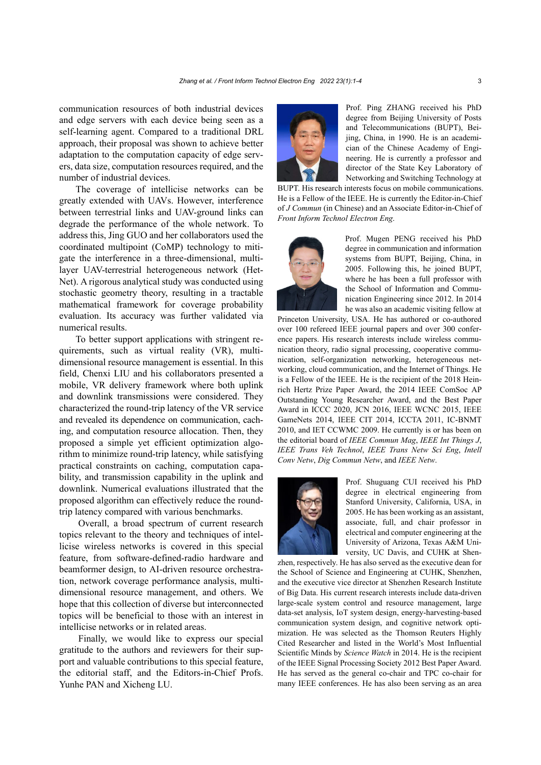communication resources of both industrial devices and edge servers with each device being seen as a self-learning agent. Compared to a traditional DRL approach, their proposal was shown to achieve better adaptation to the computation capacity of edge servers, data size, computation resources required, and the number of industrial devices.

The coverage of intellicise networks can be greatly extended with UAVs. However, interference between terrestrial links and UAV-ground links can degrade the performance of the whole network. To address this, Jing GUO and her collaborators used the coordinated multipoint (CoMP) technology to mitigate the interference in a three-dimensional, multilayer UAV-terrestrial heterogeneous network (Het-Net). A rigorous analytical study was conducted using stochastic geometry theory, resulting in a tractable mathematical framework for coverage probability evaluation. Its accuracy was further validated via numerical results.

To better support applications with stringent requirements, such as virtual reality (VR), multidimensional resource management is essential. In this field, Chenxi LIU and his collaborators presented a mobile, VR delivery framework where both uplink and downlink transmissions were considered. They characterized the round-trip latency of the VR service and revealed its dependence on communication, caching, and computation resource allocation. Then, they proposed a simple yet efficient optimization algorithm to minimize round-trip latency, while satisfying practical constraints on caching, computation capability, and transmission capability in the uplink and downlink. Numerical evaluations illustrated that the proposed algorithm can effectively reduce the roundtrip latency compared with various benchmarks.

Overall, a broad spectrum of current research topics relevant to the theory and techniques of intellicise wireless networks is covered in this special feature, from software-defined-radio hardware and beamformer design, to AI-driven resource orchestration, network coverage performance analysis, multidimensional resource management, and others. We hope that this collection of diverse but interconnected topics will be beneficial to those with an interest in intellicise networks or in related areas.

Finally, we would like to express our special gratitude to the authors and reviewers for their support and valuable contributions to this special feature, the editorial staff, and the Editors-in-Chief Profs. Yunhe PAN and Xicheng LU.



Prof. Ping ZHANG received his PhD degree from Beijing University of Posts and Telecommunications (BUPT), Beijing, China, in 1990. He is an academician of the Chinese Academy of Engineering. He is currently a professor and director of the State Key Laboratory of Networking and Switching Technology at

BUPT. His research interests focus on mobile communications. He is a Fellow of the IEEE. He is currently the Editor-in-Chief of *J Commun* (in Chinese) and an Associate Editor-in-Chief of *Front Inform Technol Electron Eng*.



Prof. Mugen PENG received his PhD degree in communication and information systems from BUPT, Beijing, China, in 2005. Following this, he joined BUPT, where he has been a full professor with the School of Information and Communication Engineering since 2012. In 2014 he was also an academic visiting fellow at

Princeton University, USA. He has authored or co-authored over 100 refereed IEEE journal papers and over 300 conference papers. His research interests include wireless communication theory, radio signal processing, cooperative communication, self-organization networking, heterogeneous networking, cloud communication, and the Internet of Things. He is a Fellow of the IEEE. He is the recipient of the 2018 Heinrich Hertz Prize Paper Award, the 2014 IEEE ComSoc AP Outstanding Young Researcher Award, and the Best Paper Award in ICCC 2020, JCN 2016, IEEE WCNC 2015, IEEE GameNets 2014, IEEE CIT 2014, ICCTA 2011, IC-BNMT 2010, and IET CCWMC 2009. He currently is or has been on the editorial board of *IEEE Commun Mag*, *IEEE Int Things J*, *IEEE Trans Veh Technol*, *IEEE Trans Netw Sci Eng*, *Intell Conv Netw*, *Dig Commun Netw*, and *IEEE Netw*.



Prof. Shuguang CUI received his PhD degree in electrical engineering from Stanford University, California, USA, in 2005. He has been working as an assistant, associate, full, and chair professor in electrical and computer engineering at the University of Arizona, Texas A&M University, UC Davis, and CUHK at Shen-

zhen, respectively. He has also served as the executive dean for the School of Science and Engineering at CUHK, Shenzhen, and the executive vice director at Shenzhen Research Institute of Big Data. His current research interests include data-driven large-scale system control and resource management, large data-set analysis, IoT system design, energy-harvesting-based communication system design, and cognitive network optimization. He was selected as the Thomson Reuters Highly Cited Researcher and listed in the World's Most Influential Scientific Minds by *Science Watch* in 2014. He is the recipient of the IEEE Signal Processing Society 2012 Best Paper Award. He has served as the general co-chair and TPC co-chair for many IEEE conferences. He has also been serving as an area